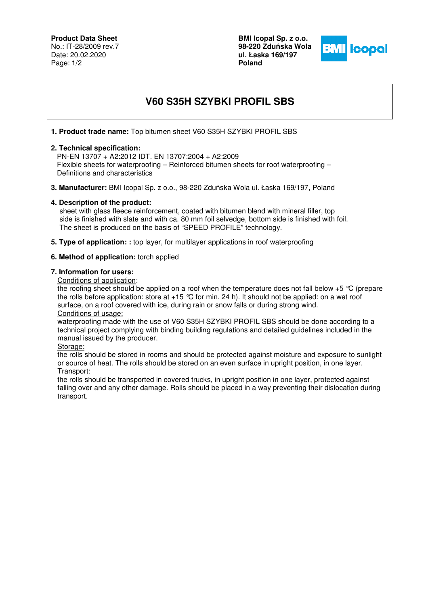## **Product Data Sheet**

No.: IT-28/2009 rev.7 Date: 20.02.2020 Page: 1/2

**BMI Icopal Sp. z o.o. 98-220 Zdu**ń**ska Wola ul. Łaska 169/197 Poland** 



# **V60 S35H SZYBKI PROFIL SBS**

## **1. Product trade name:** Top bitumen sheet V60 S35H SZYBKI PROFIL SBS

### **2. Technical specification:**

 PN-EN 13707 + A2:2012 IDT. EN 13707:2004 + A2:2009 Flexible sheets for waterproofing – Reinforced bitumen sheets for roof waterproofing – Definitions and characteristics

**3. Manufacturer:** BMI Icopal Sp. z o.o., 98-220 Zduńska Wola ul. Łaska 169/197, Poland

#### **4. Description of the product:**

 sheet with glass fleece reinforcement, coated with bitumen blend with mineral filler, top side is finished with slate and with ca. 80 mm foil selvedge, bottom side is finished with foil. The sheet is produced on the basis of "SPEED PROFILE" technology.

**5. Type of application: :** top layer, for multilayer applications in roof waterproofing

#### **6. Method of application:** torch applied

#### **7. Information for users:**

Conditions of application:

the roofing sheet should be applied on a roof when the temperature does not fall below +5 °C (prepare the rolls before application: store at  $+15$  °C for min. 24 h). It should not be applied: on a wet roof surface, on a roof covered with ice, during rain or snow falls or during strong wind. Conditions of usage:

waterproofing made with the use of V60 S35H SZYBKI PROFIL SBS should be done according to a technical project complying with binding building regulations and detailed guidelines included in the manual issued by the producer.

Storage:

the rolls should be stored in rooms and should be protected against moisture and exposure to sunlight or source of heat. The rolls should be stored on an even surface in upright position, in one layer. Transport:

the rolls should be transported in covered trucks, in upright position in one layer, protected against falling over and any other damage. Rolls should be placed in a way preventing their dislocation during transport.